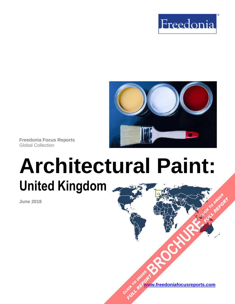



**Freedonia Focus Reports** Global Collection

# **Architectural Paint: United Kingdom [BROCHURE](https://www.freedoniafocusreports.com/Architectural-Paint-United-Kingdom-FB35096/?progid=89541) CLICK TO ORDER**

**June 2018**

**[www.freedoniafocusreports.com](https://www.freedoniafocusreports.com/redirect.asp?progid=89534&url=/)** CLICK TO ORDER **FULL REPORT** 

FULL REPORT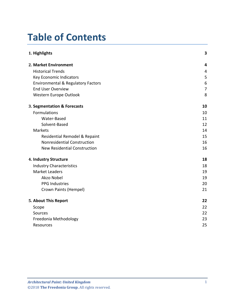# **Table of Contents**

| 1. Highlights                                 | 3              |
|-----------------------------------------------|----------------|
| 2. Market Environment                         | 4              |
| <b>Historical Trends</b>                      | 4              |
| <b>Key Economic Indicators</b>                | 5              |
| <b>Environmental &amp; Regulatory Factors</b> | 6              |
| <b>End User Overview</b>                      | $\overline{7}$ |
| Western Europe Outlook                        | 8              |
| 3. Segmentation & Forecasts                   | 10             |
| Formulations                                  | 10             |
| Water-Based                                   | 11             |
| Solvent-Based                                 | 12             |
| Markets                                       | 14             |
| Residential Remodel & Repaint                 | 15             |
| Nonresidential Construction                   | 16             |
| <b>New Residential Construction</b>           | 16             |
| 4. Industry Structure                         | 18             |
| <b>Industry Characteristics</b>               | 18             |
| <b>Market Leaders</b>                         | 19             |
| Akzo Nobel                                    | 19             |
| <b>PPG Industries</b>                         | 20             |
| Crown Paints (Hempel)                         | 21             |
| 5. About This Report                          | 22             |
| Scope                                         | 22             |
| Sources                                       | 22             |
| Freedonia Methodology                         | 23             |
| <b>Resources</b>                              | 25             |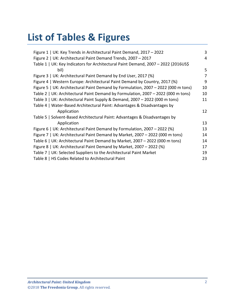# **List of Tables & Figures**

| Figure 1   UK: Key Trends in Architectural Paint Demand, 2017 - 2022               | 3  |
|------------------------------------------------------------------------------------|----|
| Figure 2   UK: Architectural Paint Demand Trends, 2007 - 2017                      | 4  |
| Table 1   UK: Key Indicators for Architectural Paint Demand, 2007 - 2022 (2016US\$ |    |
| bil)                                                                               | 5  |
| Figure 3   UK: Architectural Paint Demand by End User, 2017 (%)                    | 7  |
| Figure 4   Western Europe: Architectural Paint Demand by Country, 2017 (%)         | 9  |
| Figure 5   UK: Architectural Paint Demand by Formulation, 2007 - 2022 (000 m tons) | 10 |
| Table 2   UK: Architectural Paint Demand by Formulation, 2007 - 2022 (000 m tons)  | 10 |
| Table 3   UK: Architectural Paint Supply & Demand, 2007 - 2022 (000 m tons)        | 11 |
| Table 4   Water-Based Architectural Paint: Advantages & Disadvantages by           |    |
| Application                                                                        | 12 |
| Table 5   Solvent-Based Architectural Paint: Advantages & Disadvantages by         |    |
| Application                                                                        | 13 |
| Figure 6   UK: Architectural Paint Demand by Formulation, 2007 - 2022 (%)          | 13 |
| Figure 7   UK: Architectural Paint Demand by Market, 2007 – 2022 (000 m tons)      | 14 |
| Table 6   UK: Architectural Paint Demand by Market, 2007 - 2022 (000 m tons)       | 14 |
| Figure 8   UK: Architectural Paint Demand by Market, 2007 - 2022 (%)               | 17 |
| Table 7   UK: Selected Suppliers to the Architectural Paint Market                 | 19 |
| Table 8   HS Codes Related to Architectural Paint                                  | 23 |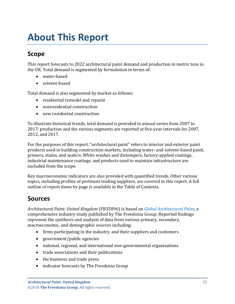# <span id="page-3-0"></span>**About This Report**

# <span id="page-3-1"></span>**Scope**

This report forecasts to 2022 architectural paint demand and production in metric tons in the UK. Total demand is segmented by formulation in terms of:

- water-based
- solvent-based

Total demand is also segmented by market as follows:

- residential remodel and repaint
- nonresidential construction
- new residential construction

To illustrate historical trends, total demand is provided in annual series from 2007 to 2017; production and the various segments are reported at five-year intervals for 2007, 2012, and 2017.

For the purposes of this report, "architectural paint" refers to interior and exterior paint products used in building construction markets, including water- and solvent-based paint, primers, stains, and sealers. White washes and distempers, factory-applied coatings, industrial maintenance coatings, and products used to maintain infrastructure are excluded from the scope.

Key macroeconomic indicators are also provided with quantified trends. Other various topics, including profiles of pertinent leading suppliers, are covered in this report. A full outline of report items by page is available in the Table of Contents.

## <span id="page-3-2"></span>**Sources**

*Architectural Paint: United Kingdom* (FB35096) is based on *[Global Architectural Paint,](http://www.freedoniagroup.com/DocumentDetails.aspx?ReferrerId=FL-FOCUS&studyid=3598)* a comprehensive industry study published by The Freedonia Group. Reported findings represent the synthesis and analysis of data from various primary, secondary, macroeconomic, and demographic sources including:

- firms participating in the industry, and their suppliers and customers
- government/public agencies
- national, regional, and international non-governmental organizations
- trade associations and their publications
- the business and trade press
- indicator forecasts by The Freedonia Group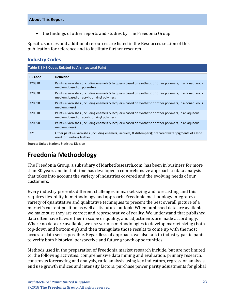• the findings of other reports and studies by The Freedonia Group

Specific sources and additional resources are listed in the Resources section of this publication for reference and to facilitate further research.

### **Industry Codes**

<span id="page-4-1"></span>

| Table 8   HS Codes Related to Architectural Paint |                                                                                                                                                       |  |
|---------------------------------------------------|-------------------------------------------------------------------------------------------------------------------------------------------------------|--|
| <b>HS Code</b>                                    | <b>Definition</b>                                                                                                                                     |  |
| 320810                                            | Paints & varnishes (including enamels & lacquers) based on synthetic or other polymers, in a nonaqueous<br>medium, based on polyesters                |  |
| 320820                                            | Paints & varnishes (including enamels & lacquers) based on synthetic or other polymers, in a nonaqueous<br>medium, based on acrylic or vinyl polymers |  |
| 320890                                            | Paints & varnishes (including enamels & lacquers) based on synthetic or other polymers, in a nonaqueous<br>medium, nesoi                              |  |
| 320910                                            | Paints & varnishes (including enamels & lacquers) based on synthetic or other polymers, in an aqueous<br>medium, based on acrylic or vinyl polymers   |  |
| 320990                                            | Paints & varnishes (including enamels & lacquers) based on synthetic or other polymers, in an aqueous<br>medium, nesoi                                |  |
| 3210                                              | Other paints & varnishes (including enamels, lacquers, & distempers); prepared water pigments of a kind<br>used for finishing leather                 |  |

Source: United Nations Statistics Division

# <span id="page-4-0"></span>**Freedonia Methodology**

The Freedonia Group, a subsidiary of MarketResearch.com, has been in business for more than 30 years and in that time has developed a comprehensive approach to data analysis that takes into account the variety of industries covered and the evolving needs of our customers.

Every industry presents different challenges in market sizing and forecasting, and this requires flexibility in methodology and approach. Freedonia methodology integrates a variety of quantitative and qualitative techniques to present the best overall picture of a market's current position as well as its future outlook: When published data are available, we make sure they are correct and representative of reality. We understand that published data often have flaws either in scope or quality, and adjustments are made accordingly. Where no data are available, we use various methodologies to develop market sizing (both top-down and bottom-up) and then triangulate those results to come up with the most accurate data series possible. Regardless of approach, we also talk to industry participants to verify both historical perspective and future growth opportunities.

Methods used in the preparation of Freedonia market research include, but are not limited to, the following activities: comprehensive data mining and evaluation, primary research, consensus forecasting and analysis, ratio analysis using key indicators, regression analysis, end use growth indices and intensity factors, purchase power parity adjustments for global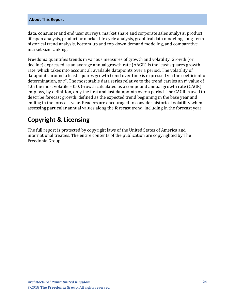#### **About This Report**

data, consumer and end user surveys, market share and corporate sales analysis, product lifespan analysis, product or market life cycle analysis, graphical data modeling, long-term historical trend analysis, bottom-up and top-down demand modeling, and comparative market size ranking.

Freedonia quantifies trends in various measures of growth and volatility. Growth (or decline) expressed as an average annual growth rate (AAGR) is the least squares growth rate, which takes into account all available datapoints over a period. The volatility of datapoints around a least squares growth trend over time is expressed via the coefficient of determination, or  $r^2$ . The most stable data series relative to the trend carries an  $r^2$  value of 1.0; the most volatile – 0.0. Growth calculated as a compound annual growth rate (CAGR) employs, by definition, only the first and last datapoints over a period. The CAGR is used to describe forecast growth, defined as the expected trend beginning in the base year and ending in the forecast year. Readers are encouraged to consider historical volatility when assessing particular annual values along the forecast trend, including in the forecast year.

# **Copyright & Licensing**

The full report is protected by copyright laws of the United States of America and international treaties. The entire contents of the publication are copyrighted by The Freedonia Group.